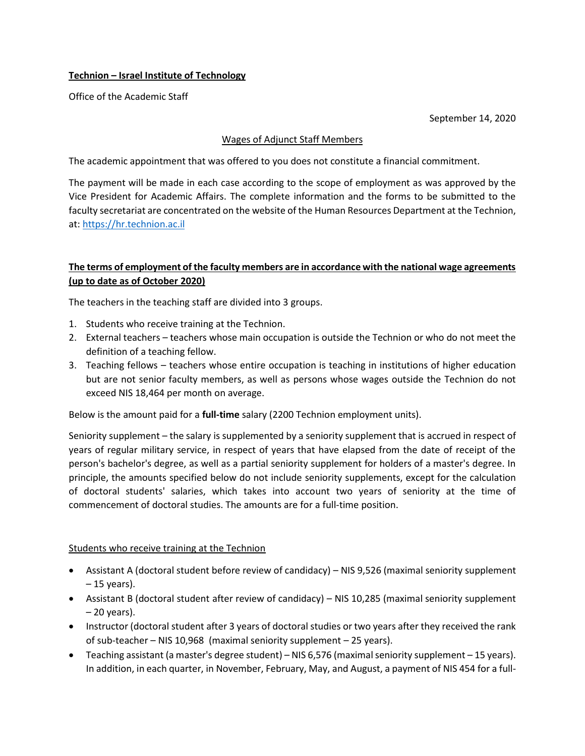# **Technion – Israel Institute of Technology**

Office of the Academic Staff

September 14, 2020

### Wages of Adjunct Staff Members

The academic appointment that was offered to you does not constitute a financial commitment.

The payment will be made in each case according to the scope of employment as was approved by the Vice President for Academic Affairs. The complete information and the forms to be submitted to the faculty secretariat are concentrated on the website of the Human Resources Department at the Technion, at: [https://hr.technion.ac.il](https://hr.technion.ac.il/)

# **The terms of employment of the faculty members are in accordance with the national wage agreements (up to date as of October 2020)**

The teachers in the teaching staff are divided into 3 groups.

- 1. Students who receive training at the Technion.
- 2. External teachers teachers whose main occupation is outside the Technion or who do not meet the definition of a teaching fellow.
- 3. Teaching fellows teachers whose entire occupation is teaching in institutions of higher education but are not senior faculty members, as well as persons whose wages outside the Technion do not exceed NIS 18,464 per month on average.

Below is the amount paid for a **full-time** salary (2200 Technion employment units).

Seniority supplement – the salary is supplemented by a seniority supplement that is accrued in respect of years of regular military service, in respect of years that have elapsed from the date of receipt of the person's bachelor's degree, as well as a partial seniority supplement for holders of a master's degree. In principle, the amounts specified below do not include seniority supplements, except for the calculation of doctoral students' salaries, which takes into account two years of seniority at the time of commencement of doctoral studies. The amounts are for a full-time position.

#### Students who receive training at the Technion

- Assistant A (doctoral student before review of candidacy) NIS 9,526 (maximal seniority supplement – 15 years).
- Assistant B (doctoral student after review of candidacy) NIS 10,285 (maximal seniority supplement – 20 years).
- Instructor (doctoral student after 3 years of doctoral studies or two years after they received the rank of sub-teacher – NIS 10,968 (maximal seniority supplement – 25 years).
- Teaching assistant (a master's degree student) NIS 6,576 (maximal seniority supplement 15 years). In addition, in each quarter, in November, February, May, and August, a payment of NIS 454 for a full-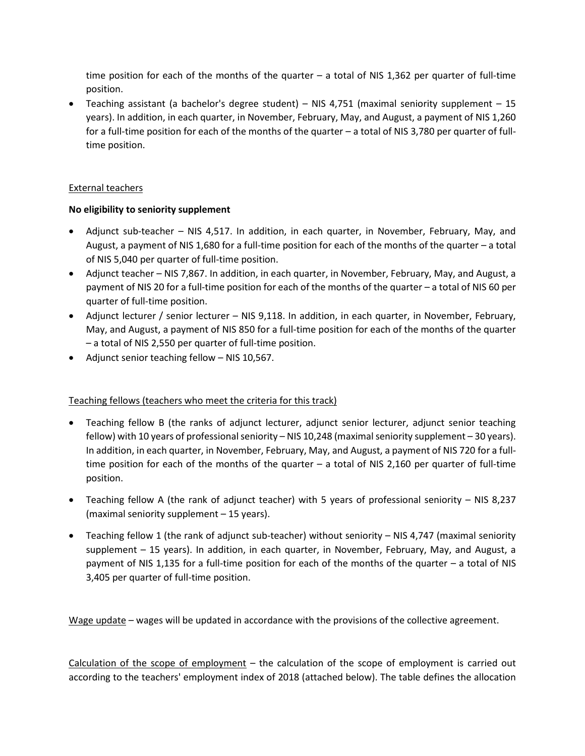time position for each of the months of the quarter – a total of NIS 1,362 per quarter of full-time position.

• Teaching assistant (a bachelor's degree student) – NIS 4,751 (maximal seniority supplement – 15 years). In addition, in each quarter, in November, February, May, and August, a payment of NIS 1,260 for a full-time position for each of the months of the quarter – a total of NIS 3,780 per quarter of fulltime position.

## External teachers

# **No eligibility to seniority supplement**

- Adjunct sub-teacher NIS 4,517. In addition, in each quarter, in November, February, May, and August, a payment of NIS 1,680 for a full-time position for each of the months of the quarter – a total of NIS 5,040 per quarter of full-time position.
- Adjunct teacher NIS 7,867. In addition, in each quarter, in November, February, May, and August, a payment of NIS 20 for a full-time position for each of the months of the quarter – a total of NIS 60 per quarter of full-time position.
- Adjunct lecturer / senior lecturer NIS 9,118. In addition, in each quarter, in November, February, May, and August, a payment of NIS 850 for a full-time position for each of the months of the quarter – a total of NIS 2,550 per quarter of full-time position.
- Adjunct senior teaching fellow NIS 10,567.

# Teaching fellows (teachers who meet the criteria for this track)

- Teaching fellow B (the ranks of adjunct lecturer, adjunct senior lecturer, adjunct senior teaching fellow) with 10 years of professional seniority – NIS 10,248 (maximal seniority supplement – 30 years). In addition, in each quarter, in November, February, May, and August, a payment of NIS 720 for a fulltime position for each of the months of the quarter – a total of NIS 2,160 per quarter of full-time position.
- Teaching fellow A (the rank of adjunct teacher) with 5 years of professional seniority NIS 8,237 (maximal seniority supplement – 15 years).
- Teaching fellow 1 (the rank of adjunct sub-teacher) without seniority NIS 4,747 (maximal seniority supplement – 15 years). In addition, in each quarter, in November, February, May, and August, a payment of NIS 1,135 for a full-time position for each of the months of the quarter – a total of NIS 3,405 per quarter of full-time position.

Wage update – wages will be updated in accordance with the provisions of the collective agreement.

Calculation of the scope of employment – the calculation of the scope of employment is carried out according to the teachers' employment index of 2018 (attached below). The table defines the allocation